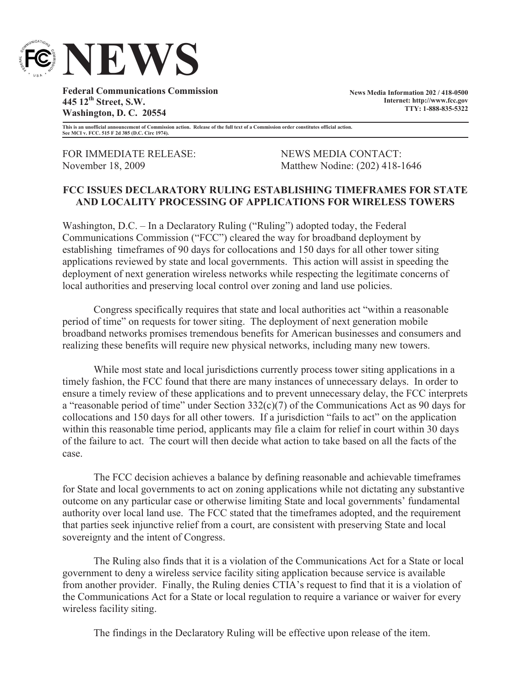

**Federal Communications Commission 445 12th Street, S.W. Washington, D. C. 20554**

**News Media Information 202 / 418-0500 Internet: http://www.fcc.gov TTY: 1-888-835-5322**

**This is an unofficial announcement of Commission action. Release of the full text of a Commission order constitutes official action. See MCI v. FCC. 515 F 2d 385 (D.C. Circ 1974).**

FOR IMMEDIATE RELEASE: NEWS MEDIA CONTACT:

November 18, 2009 Matthew Nodine: (202) 418-1646

## **FCC ISSUES DECLARATORY RULING ESTABLISHING TIMEFRAMES FOR STATE AND LOCALITY PROCESSING OF APPLICATIONS FOR WIRELESS TOWERS**

Washington, D.C. – In a Declaratory Ruling ("Ruling") adopted today, the Federal Communications Commission ("FCC") cleared the way for broadband deployment by establishing timeframes of 90 days for collocations and 150 days for all other tower siting applications reviewed by state and local governments. This action will assist in speeding the deployment of next generation wireless networks while respecting the legitimate concerns of local authorities and preserving local control over zoning and land use policies.

Congress specifically requires that state and local authorities act "within a reasonable period of time" on requests for tower siting. The deployment of next generation mobile broadband networks promises tremendous benefits for American businesses and consumers and realizing these benefits will require new physical networks, including many new towers.

While most state and local jurisdictions currently process tower siting applications in a timely fashion, the FCC found that there are many instances of unnecessary delays. In order to ensure a timely review of these applications and to prevent unnecessary delay, the FCC interprets a "reasonable period of time" under Section 332(c)(7) of the Communications Act as 90 days for collocations and 150 days for all other towers. If a jurisdiction "fails to act" on the application within this reasonable time period, applicants may file a claim for relief in court within 30 days of the failure to act. The court will then decide what action to take based on all the facts of the case.

The FCC decision achieves a balance by defining reasonable and achievable timeframes for State and local governments to act on zoning applications while not dictating any substantive outcome on any particular case or otherwise limiting State and local governments' fundamental authority over local land use. The FCC stated that the timeframes adopted, and the requirement that parties seek injunctive relief from a court, are consistent with preserving State and local sovereignty and the intent of Congress.

The Ruling also finds that it is a violation of the Communications Act for a State or local government to deny a wireless service facility siting application because service is available from another provider. Finally, the Ruling denies CTIA's request to find that it is a violation of the Communications Act for a State or local regulation to require a variance or waiver for every wireless facility siting.

The findings in the Declaratory Ruling will be effective upon release of the item.